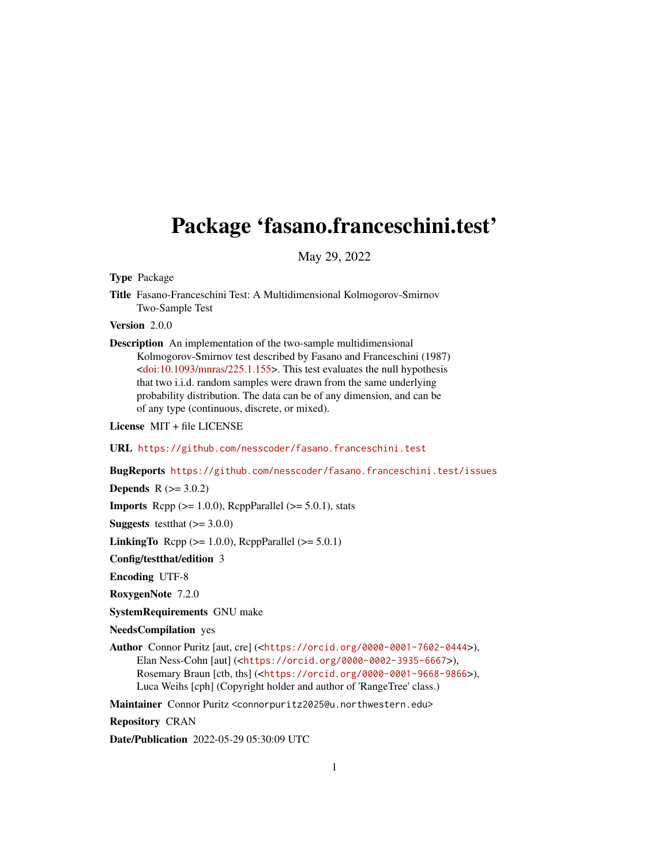## Package 'fasano.franceschini.test'

May 29, 2022

Type Package

Title Fasano-Franceschini Test: A Multidimensional Kolmogorov-Smirnov Two-Sample Test

Version 2.0.0

Description An implementation of the two-sample multidimensional Kolmogorov-Smirnov test described by Fasano and Franceschini (1987)  $\leq$ doi:10.1093/mnras/225.1.155>. This test evaluates the null hypothesis that two i.i.d. random samples were drawn from the same underlying probability distribution. The data can be of any dimension, and can be of any type (continuous, discrete, or mixed).

License MIT + file LICENSE

URL <https://github.com/nesscoder/fasano.franceschini.test>

BugReports <https://github.com/nesscoder/fasano.franceschini.test/issues>

**Depends**  $R (= 3.0.2)$ 

**Imports** Rcpp  $(>= 1.0.0)$ , RcppParallel  $(>= 5.0.1)$ , stats

**Suggests** test that  $(>= 3.0.0)$ 

LinkingTo Rcpp  $(>= 1.0.0)$ , RcppParallel  $(>= 5.0.1)$ 

Config/testthat/edition 3

Encoding UTF-8

RoxygenNote 7.2.0

SystemRequirements GNU make

NeedsCompilation yes

Author Connor Puritz [aut, cre] (<<https://orcid.org/0000-0001-7602-0444>>), Elan Ness-Cohn [aut] (<<https://orcid.org/0000-0002-3935-6667>>), Rosemary Braun [ctb, ths] (<<https://orcid.org/0000-0001-9668-9866>>), Luca Weihs [cph] (Copyright holder and author of 'RangeTree' class.)

Maintainer Connor Puritz <connorpuritz2025@u.northwestern.edu>

Repository CRAN

Date/Publication 2022-05-29 05:30:09 UTC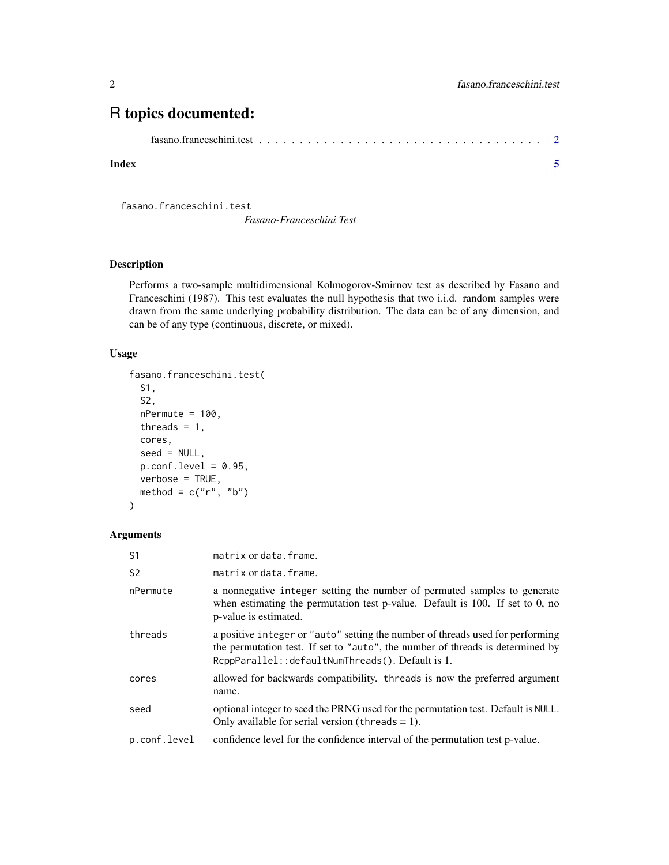### <span id="page-1-0"></span>R topics documented:

```
fasano.franceschini.test . . . . . . . . . . . . . . . . . . . . . . . . . . . . . . . . . . . 2
```
#### **Index** [5](#page-4-0). The second state of the second state of the second state of the second state of the second state of the second state of the second state of the second state of the second state of the second state of the second

fasano.franceschini.test

*Fasano-Franceschini Test*

#### Description

Performs a two-sample multidimensional Kolmogorov-Smirnov test as described by Fasano and Franceschini (1987). This test evaluates the null hypothesis that two i.i.d. random samples were drawn from the same underlying probability distribution. The data can be of any dimension, and can be of any type (continuous, discrete, or mixed).

#### Usage

```
fasano.franceschini.test(
 S1,
  S2,
 nPermute = 100,
  threads = 1,
 cores,
  seed = NULL,
 p.config且 = 0.95,
 verbose = TRUE,
 method = c("r", "b")\mathcal{L}
```
#### Arguments

| S <sub>1</sub> | matrix or data. frame.                                                                                                                                                                                                |
|----------------|-----------------------------------------------------------------------------------------------------------------------------------------------------------------------------------------------------------------------|
| S <sub>2</sub> | matrix or data. frame.                                                                                                                                                                                                |
| nPermute       | a nonnegative integer setting the number of permuted samples to generate<br>when estimating the permutation test p-value. Default is $100$ . If set to 0, no<br>p-value is estimated.                                 |
| threads        | a positive integer or "auto" setting the number of threads used for performing<br>the permutation test. If set to "auto", the number of threads is determined by<br>RcppParallel:: defaultNumThreads(). Default is 1. |
| cores          | allowed for backwards compatibility. threads is now the preferred argument<br>name.                                                                                                                                   |
| seed           | optional integer to seed the PRNG used for the permutation test. Default is NULL.<br>Only available for serial version (threads $= 1$ ).                                                                              |
| p.conf.level   | confidence level for the confidence interval of the permutation test p-value.                                                                                                                                         |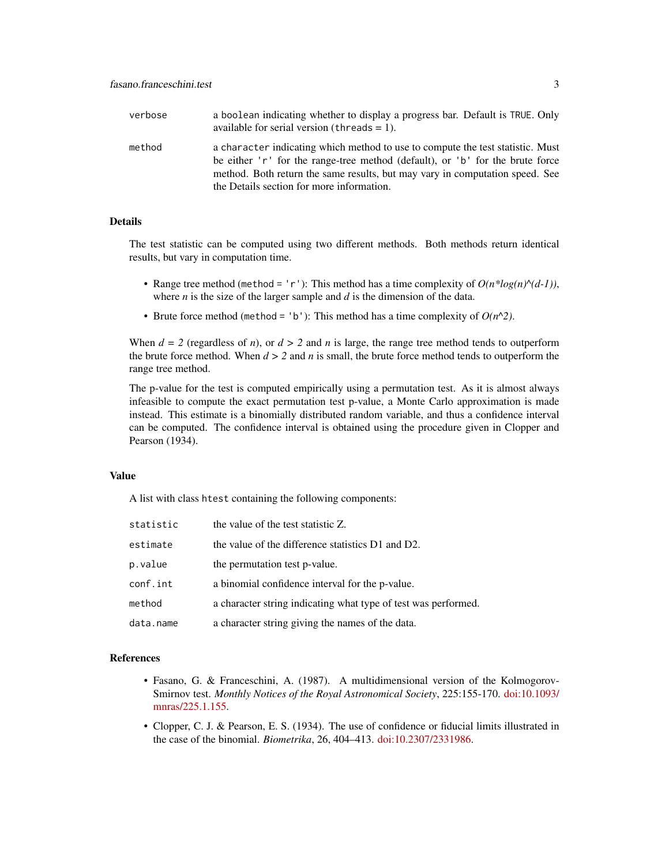| verbose | a boolean indicating whether to display a progress bar. Default is TRUE. Only<br>available for serial version (threads $= 1$ ).                                                                                                                                                              |
|---------|----------------------------------------------------------------------------------------------------------------------------------------------------------------------------------------------------------------------------------------------------------------------------------------------|
| method  | a character indicating which method to use to compute the test statistic. Must<br>be either 'r' for the range-tree method (default), or 'b' for the brute force<br>method. Both return the same results, but may vary in computation speed. See<br>the Details section for more information. |

#### Details

The test statistic can be computed using two different methods. Both methods return identical results, but vary in computation time.

- Range tree method (method = 'r'): This method has a time complexity of  $O(n * log(n)^(d-1))$ , where *n* is the size of the larger sample and *d* is the dimension of the data.
- Brute force method (method = 'b'): This method has a time complexity of  $O(n^2)$ .

When  $d = 2$  (regardless of *n*), or  $d > 2$  and *n* is large, the range tree method tends to outperform the brute force method. When  $d > 2$  and *n* is small, the brute force method tends to outperform the range tree method.

The p-value for the test is computed empirically using a permutation test. As it is almost always infeasible to compute the exact permutation test p-value, a Monte Carlo approximation is made instead. This estimate is a binomially distributed random variable, and thus a confidence interval can be computed. The confidence interval is obtained using the procedure given in Clopper and Pearson (1934).

#### Value

A list with class htest containing the following components:

| statistic | the value of the test statistic Z.                             |
|-----------|----------------------------------------------------------------|
| estimate  | the value of the difference statistics D1 and D2.              |
| p.value   | the permutation test p-value.                                  |
| conf.int  | a binomial confidence interval for the p-value.                |
| method    | a character string indicating what type of test was performed. |
| data.name | a character string giving the names of the data.               |

#### References

- Fasano, G. & Franceschini, A. (1987). A multidimensional version of the Kolmogorov-Smirnov test. *Monthly Notices of the Royal Astronomical Society*, 225:155-170. [doi:10.1093/](https://doi.org/10.1093/mnras/225.1.155) [mnras/225.1.155.](https://doi.org/10.1093/mnras/225.1.155)
- Clopper, C. J. & Pearson, E. S. (1934). The use of confidence or fiducial limits illustrated in the case of the binomial. *Biometrika*, 26, 404–413. [doi:10.2307/2331986.](https://doi.org/10.2307/2331986)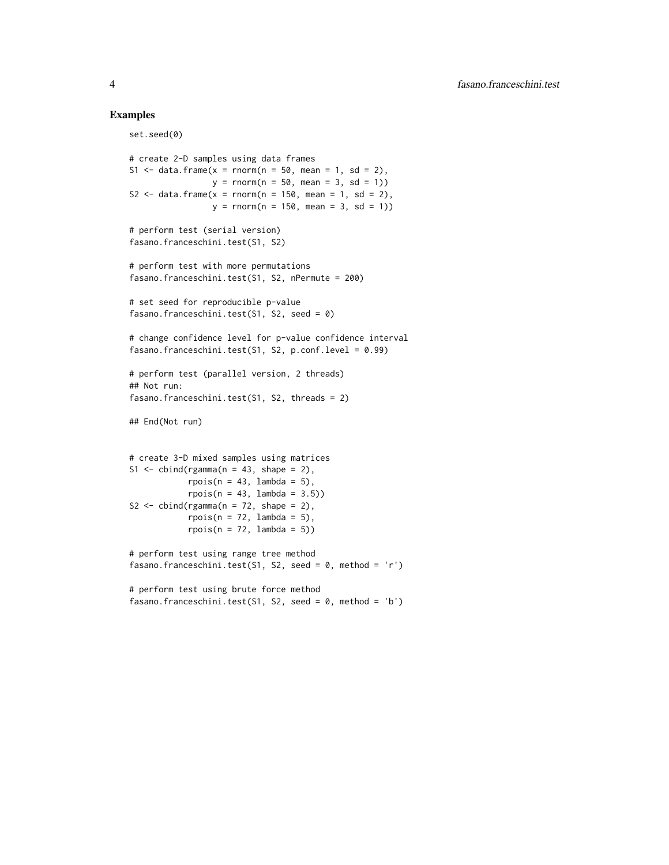#### Examples

```
set.seed(0)
```

```
# create 2-D samples using data frames
S1 \le data.frame(x = rnorm(n = 50, mean = 1, sd = 2),
                 y = \text{rnorm}(n = 50, \text{ mean} = 3, \text{ sd} = 1)S2 \le data.frame(x = rnorm(n = 150, mean = 1, sd = 2),
                 y = rnorm(n = 150, mean = 3, sd = 1)# perform test (serial version)
fasano.franceschini.test(S1, S2)
# perform test with more permutations
fasano.franceschini.test(S1, S2, nPermute = 200)
# set seed for reproducible p-value
fasano.franceschini.test(S1, S2, seed = \theta)
# change confidence level for p-value confidence interval
fasano.franceschini.test(S1, S2, p.conf.level = 0.99)
# perform test (parallel version, 2 threads)
## Not run:
fasano.franceschini.test(S1, S2, threads = 2)
## End(Not run)
# create 3-D mixed samples using matrices
S1 \le - cbind(rgamma(n = 43, shape = 2),
            rpois(n = 43, lambda = 5),
            rpois(n = 43, lambda = 3.5))
S2 \le - cbind(rgamma(n = 72, shape = 2),
            rpois(n = 72, lambda = 5),rpois(n = 72, lambda = 5))# perform test using range tree method
fasano.franceschini.test(S1, S2, seed = 0, method = 'r')
# perform test using brute force method
fasano.franceschini.test(S1, S2, seed = 0, method = 'b')
```